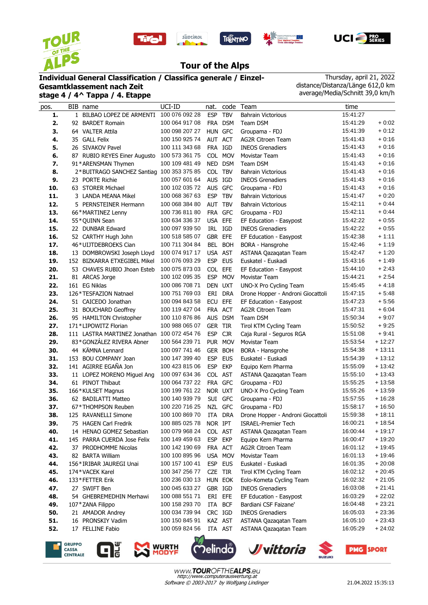









## **Tour of the Alps**

## **Individual General Classification / Classifica generale / Einzel-**

**Gesamtklassement nach Zeit stage 4 / 4^ Tappa / 4. Etappe**

Thursday, april 21, 2022 distance/Distanza/Länge 612,0 km average/Media/Schnitt 39,0 km/h

| pos. | BIB name                                  | UCI-ID         | nat.       |            | code Team                         | time     |          |
|------|-------------------------------------------|----------------|------------|------------|-----------------------------------|----------|----------|
| 1.   | 1 BILBAO LOPEZ DE ARMENTI 100 076 092 28  |                | <b>ESP</b> | <b>TBV</b> | <b>Bahrain Victorious</b>         | 15:41:27 |          |
| 2.   | 92 BARDET Romain                          | 100 064 917 08 |            | FRA DSM    | Team DSM                          | 15:41:29 | $+0:02$  |
| 3.   | 64 VALTER Attila                          | 100 098 207 27 | HUN GFC    |            | Groupama - FDJ                    | 15:41:39 | $+0:12$  |
| 4.   | 35 GALL Felix                             | 100 150 925 74 | AUT ACT    |            | <b>AG2R Citroen Team</b>          | 15:41:43 | $+0:16$  |
| 5.   | 26 SIVAKOV Pavel                          | 100 111 343 68 | FRA IGD    |            | <b>INEOS Grenadiers</b>           | 15:41:43 | $+0:16$  |
| 6.   | 87 RUBIO REYES Einer Augusto              | 100 573 361 75 |            | COL MOV    | Movistar Team                     | 15:41:43 | $+0:16$  |
| 7.   | 91*ARENSMAN Thymen                        | 100 109 481 49 |            | NED DSM    | Team DSM                          | 15:41:43 | $+0:16$  |
| 8.   | 2*BUITRAGO SANCHEZ Santiag 100 353 375 85 |                | COL TBV    |            | <b>Bahrain Victorious</b>         | 15:41:43 | $+0:16$  |
| 9.   | 23 PORTE Richie                           | 100 057 601 64 | AUS IGD    |            | <b>INEOS Grenadiers</b>           | 15:41:43 | $+0:16$  |
| 10.  | 63 STORER Michael                         | 100 102 035 72 | AUS GFC    |            | Groupama - FDJ                    | 15:41:43 | $+0:16$  |
| 11.  | 3 LANDA MEANA Mikel                       | 100 068 367 63 | <b>ESP</b> | <b>TBV</b> | <b>Bahrain Victorious</b>         | 15:41:47 | $+0:20$  |
| 12.  | 5 PERNSTEINER Hermann                     | 100 068 384 80 | AUT TBV    |            | <b>Bahrain Victorious</b>         | 15:42:11 | $+0.44$  |
| 13.  | 66*MARTINEZ Lenny                         | 100 736 811 80 | FRA GFC    |            | Groupama - FDJ                    | 15:42:11 | $+0:44$  |
| 14.  | 55*QUINN Sean                             | 100 634 336 37 | USA EFE    |            | EF Education - Easypost           | 15:42:22 | $+0:55$  |
| 15.  | 22 DUNBAR Edward                          | 100 097 939 50 | IRL IGD    |            | <b>INEOS Grenadiers</b>           | 15:42:22 | $+0.55$  |
| 16.  | 52 CARTHY Hugh John                       | 100 518 585 07 | GBR EFE    |            | EF Education - Easypost           | 15:42:38 | $+1:11$  |
| 17.  | 46*UIJTDEBROEKS Cian                      | 100 711 304 84 |            | BEL BOH    | BORA - Hansgrohe                  | 15:42:46 | $+1:19$  |
| 18.  | 13 DOMBROWSKI Joseph Lloyd                | 100 074 917 17 | USA AST    |            | ASTANA Qazaqatan Team             | 15:42:47 | $+1:20$  |
| 19.  | 152 BIZKARRA ETXEGIBEL Mikel              | 100 076 093 29 | ESP EUS    |            | Euskatel - Euskadi                | 15:43:16 | $+1.49$  |
| 20.  | 53 CHAVES RUBIO Jhoan Esteb               | 100 075 873 03 | COL EFE    |            | EF Education - Easypost           | 15:44:10 | $+2:43$  |
| 21.  | 81 ARCAS Jorge                            | 100 102 095 35 |            | ESP MOV    | Movistar Team                     | 15:44:21 | $+2:54$  |
| 22.  | 161 EG Niklas                             | 100 086 708 71 | DEN UXT    |            | UNO-X Pro Cycling Team            | 15:45:45 | $+4:18$  |
| 23.  | 126 * TESFAZION Natnael                   | 100 751 769 03 |            | ERI DRA    | Drone Hopper - Androni Giocattoli | 15:47:15 | $+5.48$  |
| 24.  | 51 CAICEDO Jonathan                       | 100 094 843 58 | ECU        | <b>EFE</b> | EF Education - Easypost           | 15:47:23 | $+5:56$  |
| 25.  | 31 BOUCHARD Geoffrey                      | 100 119 427 04 | FRA ACT    |            | <b>AG2R Citroen Team</b>          | 15:47:31 | $+6:04$  |
| 26.  | 95 HAMILTON Christopher                   | 100 110 876 86 |            | AUS DSM    | Team DSM                          | 15:50:34 | $+9:07$  |
| 27.  | 171*LIPOWITZ Florian                      | 100 988 065 07 | GER TIR    |            | Tirol KTM Cycling Team            | 15:50:52 | $+9:25$  |
| 28.  | 111 LASTRA MARTINEZ Jonathan              | 100 072 454 76 | <b>ESP</b> | <b>CJR</b> | Caja Rural - Seguros RGA          | 15:51:08 | $+9:41$  |
| 29.  | 83*GONZÁLEZ RIVERA Abner                  | 100 564 239 71 |            | PUR MOV    | Movistar Team                     | 15:53:54 | + 12:27  |
| 30.  | 44 KÄMNA Lennard                          | 100 097 741 46 |            | GER BOH    | BORA - Hansgrohe                  | 15:54:38 | $+13:11$ |
| 31.  | 153 BOU COMPANY Joan                      | 100 147 399 40 | <b>ESP</b> | <b>EUS</b> | Euskatel - Euskadi                | 15:54:39 | $+13:12$ |
| 32.  | 141 AGIRRE EGAÑA Jon                      | 100 423 815 06 | <b>ESP</b> | <b>EKP</b> | Equipo Kern Pharma                | 15:55:09 | $+13:42$ |
| 33.  | 11 LOPEZ MORENO Miguel Ang                | 100 097 634 36 | COL AST    |            | ASTANA Qazaqatan Team             | 15:55:10 | $+13:43$ |
| 34.  | 61 PINOT Thibaut                          | 100 064 737 22 | FRA GFC    |            | Groupama - FDJ                    | 15:55:25 | $+13:58$ |
| 35.  | 166*KULSET Magnus                         | 100 199 761 22 | NOR UXT    |            | UNO-X Pro Cycling Team            | 15:55:26 | $+13:59$ |
| 36.  | 62 BADILATTI Matteo                       | 100 140 939 79 |            | SUI GFC    | Groupama - FDJ                    | 15:57:55 | $+16:28$ |
| 37.  | 67*THOMPSON Reuben                        | 100 220 716 25 |            | NZL GFC    | Groupama - FDJ                    | 15:58:17 | $+16:50$ |
| 38.  | 125 RAVANELLI Simone                      | 100 100 869 70 |            | ITA DRA    | Drone Hopper - Androni Giocattoli | 15:59:38 | $+18:11$ |
| 39.  | 75 HAGEN Carl Fredrik                     | 100 885 025 78 | NOR IPT    |            | ISRAEL-Premier Tech               | 16:00:21 | $+18:54$ |
| 40.  | 14 HENAO GOMEZ Sebastian                  | 100 079 968 24 | COL AST    |            | ASTANA Qazaqatan Team             | 16:00:44 | $+19:17$ |
| 41.  | 145 PARRA CUERDA Jose Felix               | 100 149 459 63 | ESP EKP    |            | Equipo Kern Pharma                | 16:00:47 | $+19:20$ |
| 42.  | 37 PRODHOMME Nicolas                      | 100 142 190 69 | FRA ACT    |            | AG2R Citroen Team                 | 16:01:12 | $+19:45$ |
| 43.  | 82 BARTA William                          | 100 100 895 96 |            | USA MOV    | Movistar Team                     | 16:01:13 | $+19:46$ |
| 44.  | 156*IRIBAR JAUREGI Unai                   | 100 157 100 41 |            | ESP EUS    | Euskatel - Euskadi                | 16:01:35 | $+20:08$ |
| 45.  | 174*VACEK Karel                           | 100 347 256 77 | CZE TIR    |            | Tirol KTM Cycling Team            | 16:02:12 | $+20:45$ |
| 46.  | 133*FETTER Erik                           | 100 236 030 13 | HUN EOK    |            | Eolo-Kometa Cycling Team          | 16:02:32 | $+21:05$ |
| 47.  | 27 SWIFT Ben                              | 100 045 633 27 | GBR IGD    |            | <b>INEOS Grenadiers</b>           | 16:03:08 | $+21:41$ |
| 48.  | 54 GHEBREMEDHIN Merhawi                   | 100 088 551 71 |            | ERI EFE    | EF Education - Easypost           | 16:03:29 | $+22:02$ |
| 49.  | 107*ZANA Filippo                          | 100 158 293 70 | ITA BCF    |            | Bardiani CSF Faizane'             | 16:04:48 | $+23:21$ |
| 50.  | 21 AMADOR Andrey                          | 100 034 739 94 | CRC IGD    |            | <b>INEOS Grenadiers</b>           | 16:05:03 | $+23:36$ |
| 51.  | 16 PRONSKIY Vadim                         | 100 150 845 91 | KAZ AST    |            | ASTANA Qazaqatan Team             | 16:05:10 | $+23.43$ |
| 52.  | 17 FELLINE Fabio                          | 100 059 824 56 | ITA AST    |            | ASTANA Qazaqatan Team             | 16:05:29 | $+24:02$ |
|      |                                           |                |            |            |                                   |          |          |